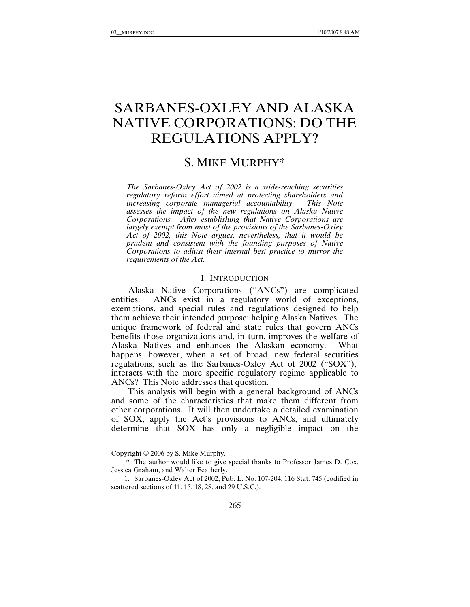# SARBANES-OXLEY AND ALASKA NATIVE CORPORATIONS: DO THE REGULATIONS APPLY?

# S. MIKE MURPHY\*

*The Sarbanes-Oxley Act of 2002 is a wide-reaching securities regulatory reform effort aimed at protecting shareholders and increasing corporate managerial accountability. This Note assesses the impact of the new regulations on Alaska Native Corporations. After establishing that Native Corporations are largely exempt from most of the provisions of the Sarbanes-Oxley Act of 2002, this Note argues, nevertheless, that it would be prudent and consistent with the founding purposes of Native Corporations to adjust their internal best practice to mirror the requirements of the Act.* 

#### I. INTRODUCTION

Alaska Native Corporations ("ANCs") are complicated entities. ANCs exist in a regulatory world of exceptions, exemptions, and special rules and regulations designed to help them achieve their intended purpose: helping Alaska Natives. The unique framework of federal and state rules that govern ANCs benefits those organizations and, in turn, improves the welfare of Alaska Natives and enhances the Alaskan economy. What happens, however, when a set of broad, new federal securities regulations, such as the Sarbanes-Oxley Act of 2002 ("SOX"), interacts with the more specific regulatory regime applicable to ANCs? This Note addresses that question.

This analysis will begin with a general background of ANCs and some of the characteristics that make them different from other corporations. It will then undertake a detailed examination of SOX, apply the Act's provisions to ANCs, and ultimately determine that SOX has only a negligible impact on the

Copyright © 2006 by S. Mike Murphy.

 <sup>\*</sup> The author would like to give special thanks to Professor James D. Cox, Jessica Graham, and Walter Featherly.

 <sup>1.</sup> Sarbanes-Oxley Act of 2002, Pub. L. No. 107-204, 116 Stat. 745 (codified in scattered sections of 11, 15, 18, 28, and 29 U.S.C.).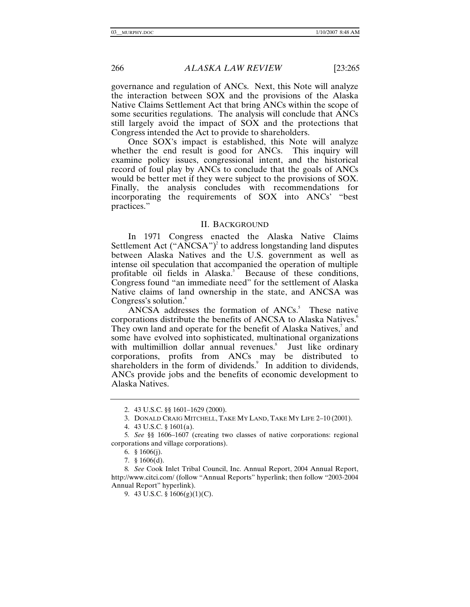governance and regulation of ANCs. Next, this Note will analyze the interaction between SOX and the provisions of the Alaska Native Claims Settlement Act that bring ANCs within the scope of some securities regulations. The analysis will conclude that ANCs still largely avoid the impact of SOX and the protections that Congress intended the Act to provide to shareholders.

Once SOX's impact is established, this Note will analyze whether the end result is good for ANCs. This inquiry will examine policy issues, congressional intent, and the historical record of foul play by ANCs to conclude that the goals of ANCs would be better met if they were subject to the provisions of SOX. Finally, the analysis concludes with recommendations for incorporating the requirements of SOX into ANCs' "best practices."

#### II. BACKGROUND

In 1971 Congress enacted the Alaska Native Claims Settlement Act  $("ANCSA")^2$  to address longstanding land disputes between Alaska Natives and the U.S. government as well as intense oil speculation that accompanied the operation of multiple profitable oil fields in Alaska.<sup>3</sup> Because of these conditions, Congress found "an immediate need" for the settlement of Alaska Native claims of land ownership in the state, and ANCSA was Congress's solution.<sup>4</sup>

ANCSA addresses the formation of  $ANCs$ <sup>5</sup>. These native corporations distribute the benefits of ANCSA to Alaska Natives.<sup>6</sup> They own land and operate for the benefit of Alaska Natives,<sup>7</sup> and some have evolved into sophisticated, multinational organizations with multimillion dollar annual revenues.<sup>8</sup> Just like ordinary corporations, profits from ANCs may be distributed to shareholders in the form of dividends.<sup>9</sup> In addition to dividends, ANCs provide jobs and the benefits of economic development to Alaska Natives.

 <sup>2. 43</sup> U.S.C. §§ 1601–1629 (2000).

 <sup>3.</sup> DONALD CRAIG MITCHELL, TAKE MY LAND, TAKE MY LIFE 2–10 (2001).

 <sup>4. 43</sup> U.S.C. § 1601(a).

<sup>5</sup>*. See* §§ 1606–1607 (creating two classes of native corporations: regional corporations and village corporations).

 <sup>6. § 1606(</sup>j).

 <sup>7. § 1606(</sup>d).

<sup>8</sup>*. See* Cook Inlet Tribal Council, Inc. Annual Report, 2004 Annual Report, http://www.citci.com/ (follow "Annual Reports" hyperlink; then follow "2003-2004 Annual Report" hyperlink).

 <sup>9. 43</sup> U.S.C. § 1606(g)(1)(C).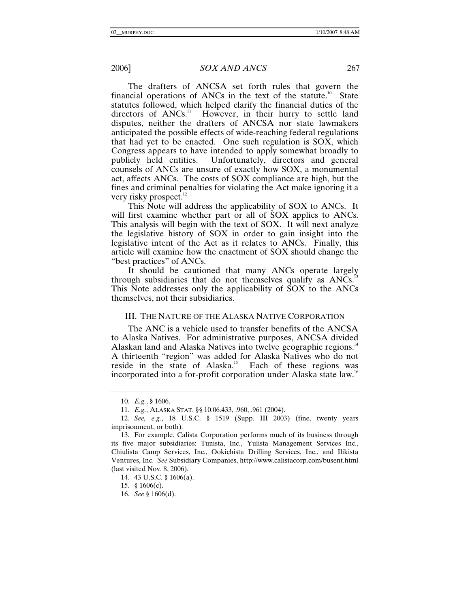The drafters of ANCSA set forth rules that govern the financial operations of ANCs in the text of the statute.<sup>10</sup> State statutes followed, which helped clarify the financial duties of the directors of  $ANCs$ <sup>11</sup> However, in their hurry to settle land disputes, neither the drafters of ANCSA nor state lawmakers anticipated the possible effects of wide-reaching federal regulations that had yet to be enacted. One such regulation is SOX, which Congress appears to have intended to apply somewhat broadly to publicly held entities. Unfortunately, directors and general counsels of ANCs are unsure of exactly how SOX, a monumental act, affects ANCs. The costs of SOX compliance are high, but the fines and criminal penalties for violating the Act make ignoring it a very risky prospect. $^{12}$ 

This Note will address the applicability of SOX to ANCs. It will first examine whether part or all of SOX applies to ANCs. This analysis will begin with the text of SOX. It will next analyze the legislative history of SOX in order to gain insight into the legislative intent of the Act as it relates to ANCs. Finally, this article will examine how the enactment of SOX should change the "best practices" of ANCs.

It should be cautioned that many ANCs operate largely through subsidiaries that do not themselves qualify as  $ANCs$ <sup>13</sup> This Note addresses only the applicability of SOX to the ANCs themselves, not their subsidiaries.

#### III. THE NATURE OF THE ALASKA NATIVE CORPORATION

The ANC is a vehicle used to transfer benefits of the ANCSA to Alaska Natives. For administrative purposes, ANCSA divided Alaskan land and Alaska Natives into twelve geographic regions.<sup>14</sup> A thirteenth "region" was added for Alaska Natives who do not reside in the state of Alaska.<sup>15</sup> Each of these regions was incorporated into a for-profit corporation under Alaska state law.<sup>16</sup>

15. § 1606(c).

<sup>10</sup>*. E.g.*, § 1606.

<sup>11</sup>*. E.g.*, ALASKA STAT. §§ 10.06.433, .960, .961 (2004).

<sup>12</sup>*. See, e.g.*, 18 U.S.C. § 1519 (Supp. III 2003) (fine, twenty years imprisonment, or both).

 <sup>13.</sup> For example, Calista Corporation performs much of its business through its five major subsidiaries: Tunista, Inc., Yulista Management Services Inc., Chiulista Camp Services, Inc., Ookichista Drilling Services, Inc., and Ilikista Ventures, Inc. *See* Subsidiary Companies, http://www.calistacorp.com/busent.html (last visited Nov. 8, 2006).

 <sup>14. 43</sup> U.S.C. § 1606(a).

<sup>16</sup>*. See* § 1606(d).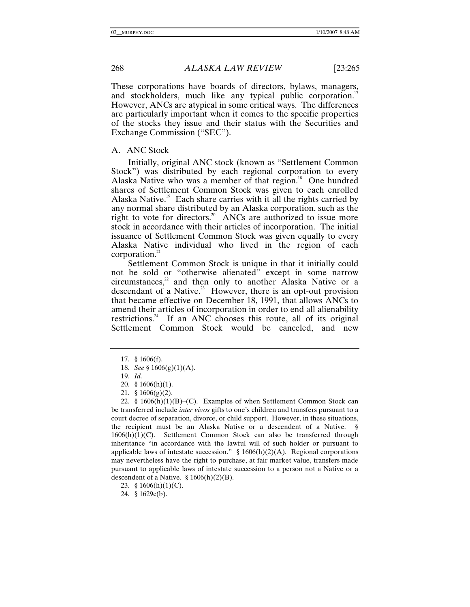These corporations have boards of directors, bylaws, managers, and stockholders, much like any typical public corporation.<sup>17</sup> However, ANCs are atypical in some critical ways. The differences are particularly important when it comes to the specific properties of the stocks they issue and their status with the Securities and Exchange Commission ("SEC").

# A. ANC Stock

Initially, original ANC stock (known as "Settlement Common Stock") was distributed by each regional corporation to every Alaska Native who was a member of that region.<sup>18</sup> One hundred shares of Settlement Common Stock was given to each enrolled Alaska Native.<sup>19</sup> Each share carries with it all the rights carried by any normal share distributed by an Alaska corporation, such as the right to vote for directors.<sup>20</sup> ANCs are authorized to issue more stock in accordance with their articles of incorporation. The initial issuance of Settlement Common Stock was given equally to every Alaska Native individual who lived in the region of each corporation. $^{21}$ 

Settlement Common Stock is unique in that it initially could not be sold or "otherwise alienated" except in some narrow  $circ$ circumstances, $2<sup>2</sup>$  and then only to another Alaska Native or a descendant of a Native.<sup>23</sup> However, there is an opt-out provision that became effective on December 18, 1991, that allows ANCs to amend their articles of incorporation in order to end all alienability restrictions.<sup>24</sup> If an ANC chooses this route, all of its original Settlement Common Stock would be canceled, and new

24. § 1629c(b).

 <sup>17. § 1606(</sup>f).

<sup>18</sup>*. See* § 1606(g)(1)(A).

<sup>19</sup>*. Id.*

 <sup>20. § 1606(</sup>h)(1).

 <sup>21. § 1606(</sup>g)(2).

<sup>22. §</sup>  $1606(h)(1)(B)$ –(C). Examples of when Settlement Common Stock can be transferred include *inter vivos* gifts to one's children and transfers pursuant to a court decree of separation, divorce, or child support. However, in these situations, the recipient must be an Alaska Native or a descendent of a Native.  $1606(h)(1)(C)$ . Settlement Common Stock can also be transferred through inheritance "in accordance with the lawful will of such holder or pursuant to applicable laws of intestate succession." § 1606(h)(2)(A). Regional corporations may nevertheless have the right to purchase, at fair market value, transfers made pursuant to applicable laws of intestate succession to a person not a Native or a descendent of a Native. § 1606(h)(2)(B).

<sup>23. §</sup>  $1606(h)(1)(C)$ .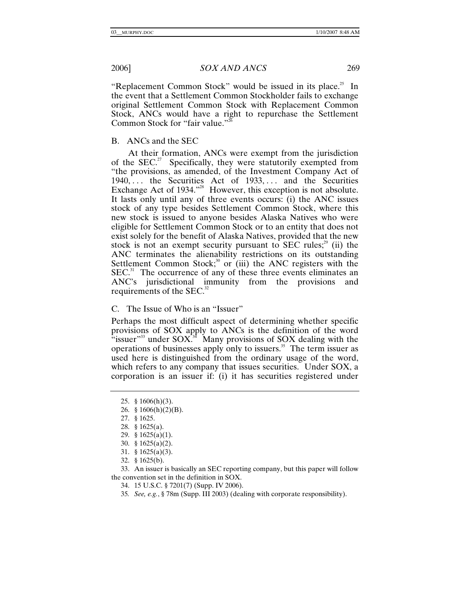"Replacement Common Stock" would be issued in its place.<sup>25</sup> In the event that a Settlement Common Stockholder fails to exchange original Settlement Common Stock with Replacement Common Stock, ANCs would have a right to repurchase the Settlement Common Stock for "fair value."<sup>26</sup>

# B. ANCs and the SEC

At their formation, ANCs were exempt from the jurisdiction of the  $SEC.^{27}$  Specifically, they were statutorily exempted from "the provisions, as amended, of the Investment Company Act of  $1940, \ldots$  the Securities Act of  $1933, \ldots$  and the Securities Exchange Act of 1934."<sup>28</sup> However, this exception is not absolute. It lasts only until any of three events occurs: (i) the ANC issues stock of any type besides Settlement Common Stock, where this new stock is issued to anyone besides Alaska Natives who were eligible for Settlement Common Stock or to an entity that does not exist solely for the benefit of Alaska Natives, provided that the new stock is not an exempt security pursuant to SEC rules; $2^9$  (ii) the ANC terminates the alienability restrictions on its outstanding Settlement Common Stock;<sup>30</sup> or (iii) the ANC registers with the  $SEC.<sup>31</sup>$  The occurrence of any of these three events eliminates an ANC's jurisdictional immunity from the provisions and requirements of the SEC.<sup>32</sup>

C. The Issue of Who is an "Issuer"

Perhaps the most difficult aspect of determining whether specific provisions of SOX apply to ANCs is the definition of the word  $\cdot$ issuer"<sup>33</sup> under SOX.<sup>34</sup> Many provisions of SOX dealing with the operations of businesses apply only to issuers.35 The term issuer as used here is distinguished from the ordinary usage of the word, which refers to any company that issues securities. Under SOX, a corporation is an issuer if: (i) it has securities registered under

32. § 1625(b).

 33. An issuer is basically an SEC reporting company, but this paper will follow the convention set in the definition in SOX.

- 34. 15 U.S.C. § 7201(7) (Supp. IV 2006).
- 35*. See, e.g.*, § 78m (Supp. III 2003) (dealing with corporate responsibility).

 <sup>25. § 1606(</sup>h)(3).

<sup>26. § 1606(</sup>h)(2)(B).

 <sup>27. § 1625.</sup>

 <sup>28. § 1625(</sup>a).

 <sup>29. § 1625(</sup>a)(1).

 <sup>30. § 1625(</sup>a)(2).

 <sup>31. § 1625(</sup>a)(3).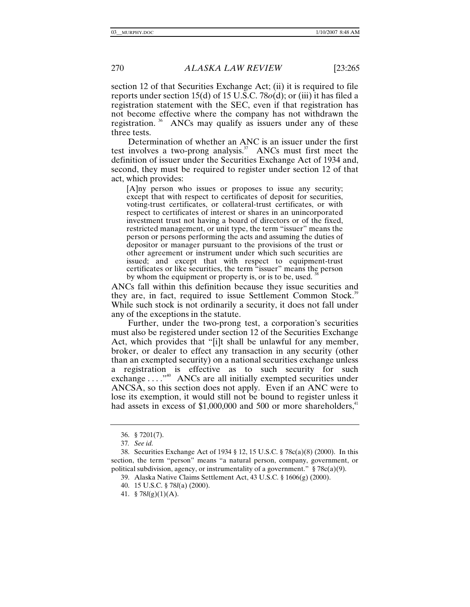section 12 of that Securities Exchange Act; (ii) it is required to file reports under section 15(d) of 15 U.S.C. 78*o*(d); or (iii) it has filed a registration statement with the SEC, even if that registration has not become effective where the company has not withdrawn the registration.  $36$  ANCs may qualify as issuers under any of these three tests.

Determination of whether an ANC is an issuer under the first test involves a two-prong analysis.<sup>37</sup> ANCs must first meet the definition of issuer under the Securities Exchange Act of 1934 and, second, they must be required to register under section 12 of that act, which provides:

[A]ny person who issues or proposes to issue any security; except that with respect to certificates of deposit for securities, voting-trust certificates, or collateral-trust certificates, or with respect to certificates of interest or shares in an unincorporated investment trust not having a board of directors or of the fixed, restricted management, or unit type, the term "issuer" means the person or persons performing the acts and assuming the duties of depositor or manager pursuant to the provisions of the trust or other agreement or instrument under which such securities are issued; and except that with respect to equipment-trust certificates or like securities, the term "issuer" means the person by whom the equipment or property is, or is to be, used.

ANCs fall within this definition because they issue securities and they are, in fact, required to issue Settlement Common Stock.<sup>39</sup> While such stock is not ordinarily a security, it does not fall under any of the exceptions in the statute.

Further, under the two-prong test, a corporation's securities must also be registered under section 12 of the Securities Exchange Act, which provides that "[i]t shall be unlawful for any member, broker, or dealer to effect any transaction in any security (other than an exempted security) on a national securities exchange unless a registration is effective as to such security for such exchange . . . . "<sup>40</sup> ANCs are all initially exempted securities under ANCSA, so this section does not apply. Even if an ANC were to lose its exemption, it would still not be bound to register unless it had assets in excess of  $$1,000,000$  and  $500$  or more shareholders,<sup>41</sup>

 <sup>36. § 7201(7).</sup>

<sup>37</sup>*. See id.*

 <sup>38.</sup> Securities Exchange Act of 1934 § 12, 15 U.S.C. § 78c(a)(8) (2000). In this section, the term "person" means "a natural person, company, government, or political subdivision, agency, or instrumentality of a government."  $\S 78c(a)(9)$ .

 <sup>39.</sup> Alaska Native Claims Settlement Act, 43 U.S.C. § 1606(g) (2000).

 <sup>40. 15</sup> U.S.C. § 78*l*(a) (2000).

 <sup>41. § 78</sup>*l*(g)(1)(A).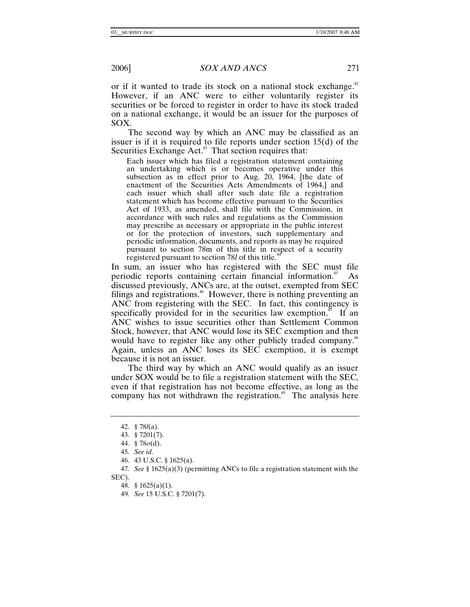or if it wanted to trade its stock on a national stock exchange. $42$ However, if an ANC were to either voluntarily register its securities or be forced to register in order to have its stock traded on a national exchange, it would be an issuer for the purposes of SOX.

The second way by which an ANC may be classified as an issuer is if it is required to file reports under section 15(d) of the Securities Exchange Act.<sup>43</sup> That section requires that:

Each issuer which has filed a registration statement containing an undertaking which is or becomes operative under this subsection as in effect prior to Aug. 20, 1964, [the date of enactment of the Securities Acts Amendments of 1964,] and each issuer which shall after such date file a registration statement which has become effective pursuant to the Securities Act of 1933, as amended, shall file with the Commission, in accordance with such rules and regulations as the Commission may prescribe as necessary or appropriate in the public interest or for the protection of investors, such supplementary and periodic information, documents, and reports as may be required pursuant to section 78m of this title in respect of a security registered pursuant to section 78*l* of this title.<sup>4</sup>

In sum, an issuer who has registered with the SEC must file periodic reports containing certain financial information.<sup>45</sup> As discussed previously, ANCs are, at the outset, exempted from SEC filings and registrations.<sup>46</sup> However, there is nothing preventing an ANC from registering with the SEC. In fact, this contingency is specifically provided for in the securities law exemption.<sup>47</sup> If an ANC wishes to issue securities other than Settlement Common Stock, however, that ANC would lose its SEC exemption and then would have to register like any other publicly traded company.<sup>48</sup> Again, unless an ANC loses its SEC exemption, it is exempt because it is not an issuer.

The third way by which an ANC would qualify as an issuer under SOX would be to file a registration statement with the SEC, even if that registration has not become effective, as long as the company has not withdrawn the registration.<sup> $49$ </sup> The analysis here

46. 43 U.S.C. § 1625(a).

48. § 1625(a)(1).

 <sup>42. § 78</sup>*l*(a).

 <sup>43. § 7201(7).</sup> 

 <sup>44. § 78</sup>*o*(d).

<sup>45</sup>*. See id.*

<sup>47</sup>*. See* § 1625(a)(3) (permitting ANCs to file a registration statement with the SEC).

<sup>49</sup>*. See* 15 U.S.C. § 7201(7).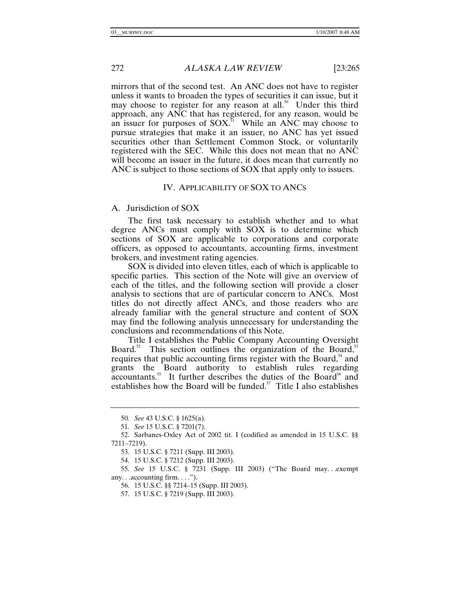mirrors that of the second test. An ANC does not have to register unless it wants to broaden the types of securities it can issue, but it may choose to register for any reason at all.<sup>50</sup> Under this third approach, any ANC that has registered, for any reason, would be an issuer for purposes of  $SOX$ .<sup>51</sup> While an ANC may choose to pursue strategies that make it an issuer, no ANC has yet issued securities other than Settlement Common Stock, or voluntarily registered with the SEC. While this does not mean that no ANC will become an issuer in the future, it does mean that currently no ANC is subject to those sections of SOX that apply only to issuers.

# IV. APPLICABILITY OF SOX TO ANCS

#### A. Jurisdiction of SOX

The first task necessary to establish whether and to what degree ANCs must comply with SOX is to determine which sections of SOX are applicable to corporations and corporate officers, as opposed to accountants, accounting firms, investment brokers, and investment rating agencies.

SOX is divided into eleven titles, each of which is applicable to specific parties. This section of the Note will give an overview of each of the titles, and the following section will provide a closer analysis to sections that are of particular concern to ANCs. Most titles do not directly affect ANCs, and those readers who are already familiar with the general structure and content of SOX may find the following analysis unnecessary for understanding the conclusions and recommendations of this Note.

Title I establishes the Public Company Accounting Oversight Board.<sup>52</sup> This section outlines the organization of the Board,<sup>53</sup> requires that public accounting firms register with the Board, $54$  and grants the Board authority to establish rules regarding  $acc$ ountants.<sup>55</sup> It further describes the duties of the Board<sup>56</sup> and establishes how the Board will be funded.<sup>57</sup> Title I also establishes

<sup>50</sup>*. See* 43 U.S.C. § 1625(a).

<sup>51</sup>*. See* 15 U.S.C. § 7201(7).

 <sup>52.</sup> Sarbanes-Oxley Act of 2002 tit. I (codified as amended in 15 U.S.C. §§ 7211–7219).

 <sup>53. 15</sup> U.S.C. § 7211 (Supp. III 2003).

 <sup>54. 15</sup> U.S.C. § 7212 (Supp. III 2003).

<sup>55</sup>*. See* 15 U.S.C. § 7231 (Supp. III 2003) ("The Board may. . .exempt any. . .accounting firm. . . .").

 <sup>56. 15</sup> U.S.C. §§ 7214–15 (Supp. III 2003).

 <sup>57. 15</sup> U.S.C. § 7219 (Supp. III 2003).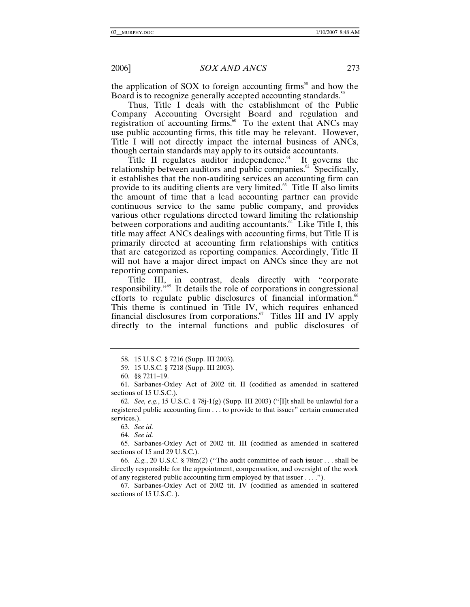the application of SOX to foreign accounting firms<sup>58</sup> and how the Board is to recognize generally accepted accounting standards.<sup>59</sup>

Thus, Title I deals with the establishment of the Public Company Accounting Oversight Board and regulation and registration of accounting firms.<sup>60</sup> To the extent that ANCs may use public accounting firms, this title may be relevant. However, Title I will not directly impact the internal business of ANCs, though certain standards may apply to its outside accountants.

Title II regulates auditor independence. $61$  It governs the relationship between auditors and public companies.<sup> $62$ </sup> Specifically, it establishes that the non-auditing services an accounting firm can provide to its auditing clients are very limited.<sup>63</sup> Title II also limits the amount of time that a lead accounting partner can provide continuous service to the same public company, and provides various other regulations directed toward limiting the relationship between corporations and auditing accountants. $^{64}$  Like Title I, this title may affect ANCs dealings with accounting firms, but Title II is primarily directed at accounting firm relationships with entities that are categorized as reporting companies. Accordingly, Title II will not have a major direct impact on ANCs since they are not reporting companies.

Title III, in contrast, deals directly with "corporate responsibility."65 It details the role of corporations in congressional efforts to regulate public disclosures of financial information.<sup>66</sup> This theme is continued in Title IV, which requires enhanced financial disclosures from corporations. $\frac{67}{11}$  Titles III and IV apply directly to the internal functions and public disclosures of

63*. See id.*

64*. See id.*

 65. Sarbanes-Oxley Act of 2002 tit. III (codified as amended in scattered sections of 15 and 29 U.S.C.).

66*. E.g.*, 20 U.S.C. § 78m(2) ("The audit committee of each issuer . . . shall be directly responsible for the appointment, compensation, and oversight of the work of any registered public accounting firm employed by that issuer . . . .").

 67. Sarbanes-Oxley Act of 2002 tit. IV (codified as amended in scattered sections of 15 U.S.C. ).

 <sup>58. 15</sup> U.S.C. § 7216 (Supp. III 2003).

 <sup>59. 15</sup> U.S.C. § 7218 (Supp. III 2003).

 <sup>60. §§ 7211–19.</sup>

 <sup>61.</sup> Sarbanes-Oxley Act of 2002 tit. II (codified as amended in scattered sections of 15 U.S.C.).

<sup>62</sup>*. See, e.g.*, 15 U.S.C. § 78j-1(g) (Supp. III 2003) ("[I]t shall be unlawful for a registered public accounting firm . . . to provide to that issuer" certain enumerated services.).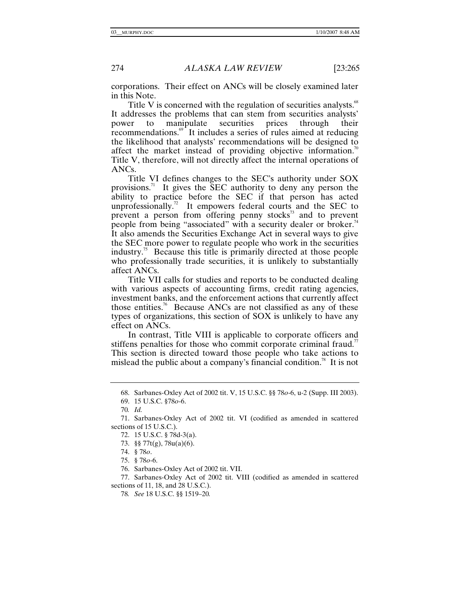corporations. Their effect on ANCs will be closely examined later in this Note.

Title V is concerned with the regulation of securities analysts.<sup>68</sup> It addresses the problems that can stem from securities analysts' power to manipulate securities prices through their power to manipulate securities prices through their recommendations.<sup>69</sup> It includes a series of rules aimed at reducing the likelihood that analysts' recommendations will be designed to affect the market instead of providing objective information.<sup>70</sup> Title V, therefore, will not directly affect the internal operations of ANCs.

Title VI defines changes to the SEC's authority under SOX provisions.<sup>71</sup> It gives the  $\overline{\text{SEC}}$  authority to deny any person the ability to practice before the SEC if that person has acted unprofessionally.<sup>72</sup> It empowers federal courts and the SEC to prevent a person from offering penny stocks<sup>33</sup> and to prevent people from being "associated" with a security dealer or broker.<sup>74</sup> It also amends the Securities Exchange Act in several ways to give the SEC more power to regulate people who work in the securities industry.<sup>75</sup> Because this title is primarily directed at those people who professionally trade securities, it is unlikely to substantially affect ANCs.

Title VII calls for studies and reports to be conducted dealing with various aspects of accounting firms, credit rating agencies, investment banks, and the enforcement actions that currently affect those entities.<sup>76</sup> Because ANCs are not classified as any of these types of organizations, this section of SOX is unlikely to have any effect on ANCs.

In contrast, Title VIII is applicable to corporate officers and stiffens penalties for those who commit corporate criminal fraud.<sup>77</sup> This section is directed toward those people who take actions to mislead the public about a company's financial condition.<sup>78</sup> It is not

 <sup>68.</sup> Sarbanes-Oxley Act of 2002 tit. V, 15 U.S.C. §§ 78*o*-6, u-2 (Supp. III 2003).

 <sup>69. 15</sup> U.S.C. §78*o*-6.

<sup>70</sup>*. Id.*

 <sup>71.</sup> Sarbanes-Oxley Act of 2002 tit. VI (codified as amended in scattered sections of 15 U.S.C.).

 <sup>72. 15</sup> U.S.C. § 78d-3(a).

 <sup>73. §§ 77</sup>t(g), 78u(a)(6).

 <sup>74. § 78</sup>*o*.

 <sup>75. § 78</sup>*o*-6.

 <sup>76.</sup> Sarbanes-Oxley Act of 2002 tit. VII.

 <sup>77.</sup> Sarbanes-Oxley Act of 2002 tit. VIII (codified as amended in scattered sections of 11, 18, and 28 U.S.C.).

<sup>78</sup>*. See* 18 U.S.C. §§ 1519–20*.*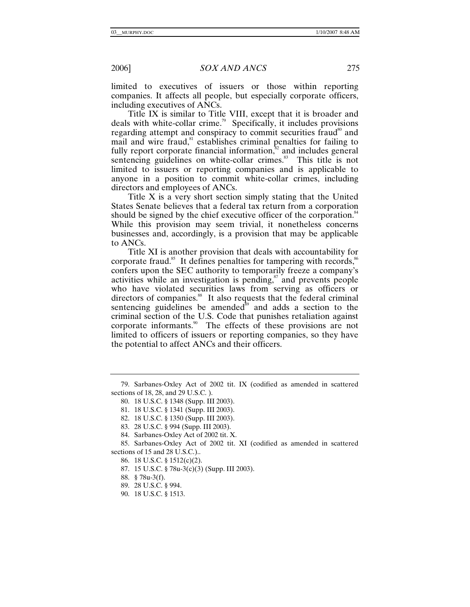limited to executives of issuers or those within reporting companies. It affects all people, but especially corporate officers, including executives of ANCs.

Title IX is similar to Title VIII, except that it is broader and deals with white-collar crime.<sup>79</sup> Specifically, it includes provisions regarding attempt and conspiracy to commit securities fraud<sup>80</sup> and mail and wire fraud, $81$  establishes criminal penalties for failing to fully report corporate financial information, $\frac{32}{3}$  and includes general sentencing guidelines on white-collar crimes.<sup>83</sup> This title is not limited to issuers or reporting companies and is applicable to anyone in a position to commit white-collar crimes, including directors and employees of ANCs.

Title X is a very short section simply stating that the United States Senate believes that a federal tax return from a corporation should be signed by the chief executive officer of the corporation.<sup>84</sup> While this provision may seem trivial, it nonetheless concerns businesses and, accordingly, is a provision that may be applicable to ANCs.

Title XI is another provision that deals with accountability for corporate fraud.<sup>85</sup> It defines penalties for tampering with records,<sup>86</sup> confers upon the SEC authority to temporarily freeze a company's activities while an investigation is pending, $\frac{87}{3}$  and prevents people who have violated securities laws from serving as officers or directors of companies.<sup>88</sup> It also requests that the federal criminal sentencing guidelines be amended $\delta$ <sup>89</sup> and adds a section to the criminal section of the U.S. Code that punishes retaliation against corporate informants.90 The effects of these provisions are not limited to officers of issuers or reporting companies, so they have the potential to affect ANCs and their officers.

 <sup>79.</sup> Sarbanes-Oxley Act of 2002 tit. IX (codified as amended in scattered sections of 18, 28, and 29 U.S.C. ).

 <sup>80. 18</sup> U.S.C. § 1348 (Supp. III 2003).

 <sup>81. 18</sup> U.S.C. § 1341 (Supp. III 2003).

 <sup>82. 18</sup> U.S.C. § 1350 (Supp. III 2003).

 <sup>83. 28</sup> U.S.C. § 994 (Supp. III 2003).

 <sup>84.</sup> Sarbanes-Oxley Act of 2002 tit. X.

 <sup>85.</sup> Sarbanes-Oxley Act of 2002 tit. XI (codified as amended in scattered sections of 15 and 28 U.S.C.)..

 <sup>86. 18</sup> U.S.C. § 1512(c)(2).

 <sup>87. 15</sup> U.S.C. § 78u-3(c)(3) (Supp. III 2003).

 <sup>88. § 78</sup>u-3(f).

 <sup>89. 28</sup> U.S.C. § 994.

 <sup>90. 18</sup> U.S.C. § 1513.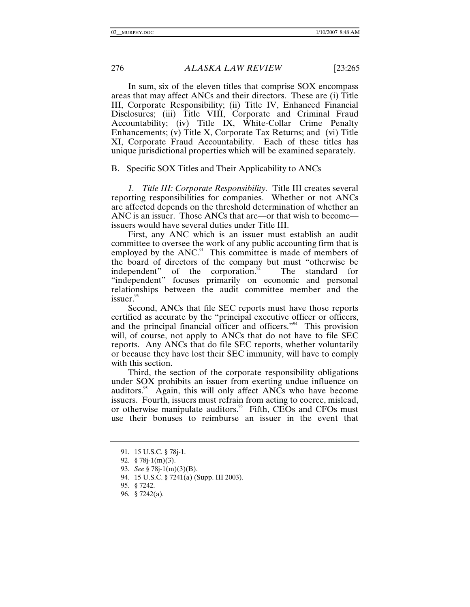In sum, six of the eleven titles that comprise SOX encompass areas that may affect ANCs and their directors. These are (i) Title III, Corporate Responsibility; (ii) Title IV, Enhanced Financial Disclosures; (iii) Title VIII, Corporate and Criminal Fraud Accountability; (iv) Title IX, White-Collar Crime Penalty Enhancements; (v) Title X, Corporate Tax Returns; and (vi) Title XI, Corporate Fraud Accountability. Each of these titles has unique jurisdictional properties which will be examined separately.

# B. Specific SOX Titles and Their Applicability to ANCs

*1. Title III: Corporate Responsibility.* Title III creates several reporting responsibilities for companies. Whether or not ANCs are affected depends on the threshold determination of whether an ANC is an issuer. Those ANCs that are—or that wish to become issuers would have several duties under Title III.

First, any ANC which is an issuer must establish an audit committee to oversee the work of any public accounting firm that is employed by the ANC.<sup>91</sup> This committee is made of members of the board of directors of the company but must "otherwise be independent" of the corporation. $n^2$  The standard for "independent" focuses primarily on economic and personal relationships between the audit committee member and the  $is surer.<sup>93</sup>$ 

Second, ANCs that file SEC reports must have those reports certified as accurate by the "principal executive officer or officers, and the principal financial officer and officers."94 This provision will, of course, not apply to ANCs that do not have to file SEC reports. Any ANCs that do file SEC reports, whether voluntarily or because they have lost their SEC immunity, will have to comply with this section.

Third, the section of the corporate responsibility obligations under SOX prohibits an issuer from exerting undue influence on auditors.<sup>95</sup> Again, this will only affect ANCs who have become issuers. Fourth, issuers must refrain from acting to coerce, mislead, or otherwise manipulate auditors.<sup>96</sup> Fifth, CEOs and CFOs must use their bonuses to reimburse an issuer in the event that

 <sup>91. 15</sup> U.S.C. § 78j-1.

 <sup>92. § 78</sup>j-1(m)(3).

<sup>93</sup>*. See* § 78j-1(m)(3)(B).

 <sup>94. 15</sup> U.S.C. § 7241(a) (Supp. III 2003).

 <sup>95. § 7242.</sup>

 <sup>96. § 7242(</sup>a).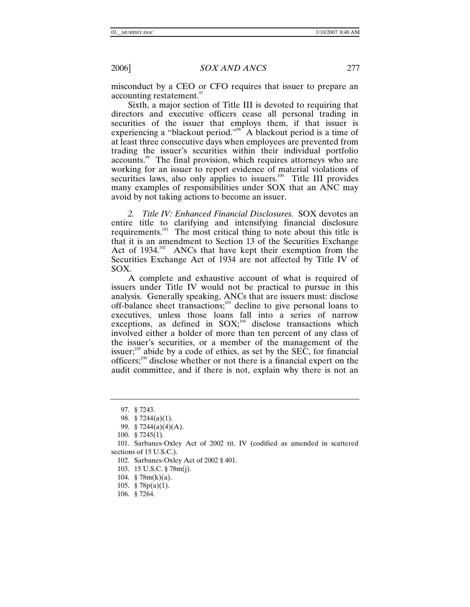misconduct by a CEO or CFO requires that issuer to prepare an accounting restatement.<sup>97</sup>

Sixth, a major section of Title III is devoted to requiring that directors and executive officers cease all personal trading in securities of the issuer that employs them, if that issuer is experiencing a "blackout period."<sup>98</sup> A blackout period is a time of at least three consecutive days when employees are prevented from trading the issuer's securities within their individual portfolio accounts.<sup>99</sup> The final provision, which requires attorneys who are working for an issuer to report evidence of material violations of securities laws, also only applies to issuers.<sup>100</sup> Title III provides many examples of responsibilities under SOX that an ANC may avoid by not taking actions to become an issuer.

*2. Title IV: Enhanced Financial Disclosures.* SOX devotes an entire title to clarifying and intensifying financial disclosure requirements.101 The most critical thing to note about this title is that it is an amendment to Section 13 of the Securities Exchange Act of 1934.<sup>102</sup> ANCs that have kept their exemption from the Securities Exchange Act of 1934 are not affected by Title IV of SOX.

A complete and exhaustive account of what is required of issuers under Title IV would not be practical to pursue in this analysis. Generally speaking, ANCs that are issuers must: disclose off-balance sheet transactions;103 decline to give personal loans to executives, unless those loans fall into a series of narrow exceptions, as defined in  $SOX;^{104}$  disclose transactions which involved either a holder of more than ten percent of any class of the issuer's securities, or a member of the management of the issuer;<sup>105</sup> abide by a code of ethics, as set by the SEC, for financial officers;<sup>106</sup> disclose whether or not there is a financial expert on the audit committee, and if there is not, explain why there is not an

102. Sarbanes-Oxley Act of 2002 § 401.

- 103. 15 U.S.C. § 78m(j).
- 104. § 78m(k)(a).
- 105. § 78p(a)(1).
- 106. § 7264.

 <sup>97. § 7243.</sup>

 <sup>98. § 7244(</sup>a)(1).

 <sup>99. § 7244(</sup>a)(4)(A).

 <sup>100. § 7245(1).</sup>

 <sup>101.</sup> Sarbanes-Oxley Act of 2002 tit. IV (codified as amended in scattered sections of 15 U.S.C.).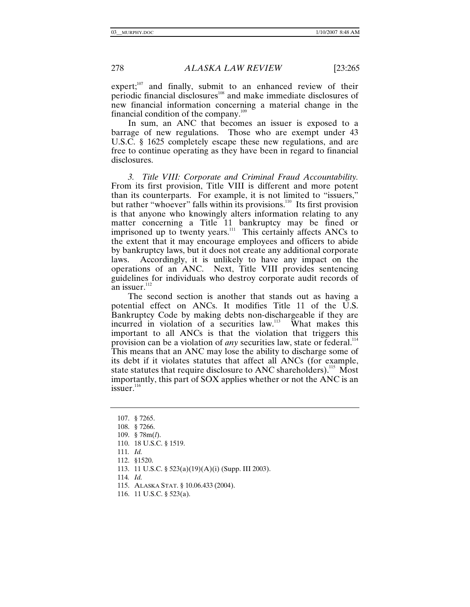$expect;107$  and finally, submit to an enhanced review of their periodic financial disclosures<sup>108</sup> and make immediate disclosures of new financial information concerning a material change in the financial condition of the company.<sup>109</sup>

In sum, an ANC that becomes an issuer is exposed to a barrage of new regulations. Those who are exempt under 43 U.S.C. § 1625 completely escape these new regulations, and are free to continue operating as they have been in regard to financial disclosures.

*3. Title VIII: Corporate and Criminal Fraud Accountability.* From its first provision, Title VIII is different and more potent than its counterparts. For example, it is not limited to "issuers," but rather "whoever" falls within its provisions.<sup>110</sup> Its first provision is that anyone who knowingly alters information relating to any matter concerning a Title 11 bankruptcy may be fined or imprisoned up to twenty years.<sup>111</sup> This certainly affects ANCs to the extent that it may encourage employees and officers to abide by bankruptcy laws, but it does not create any additional corporate laws. Accordingly, it is unlikely to have any impact on the operations of an ANC. Next, Title VIII provides sentencing guidelines for individuals who destroy corporate audit records of an issuer.<sup>112</sup>

The second section is another that stands out as having a potential effect on ANCs. It modifies Title 11 of the U.S. Bankruptcy Code by making debts non-dischargeable if they are incurred in violation of a securities law.<sup>113</sup> What makes this important to all ANCs is that the violation that triggers this provision can be a violation of *any* securities law, state or federal.<sup>114</sup> This means that an ANC may lose the ability to discharge some of its debt if it violates statutes that affect all ANCs (for example, state statutes that require disclosure to ANC shareholders).<sup>115</sup> Most importantly, this part of SOX applies whether or not the ANC is an issuer. $116$ 

114*. Id.*

 <sup>107. § 7265.</sup>

 <sup>108. § 7266.</sup>

 <sup>109. § 78</sup>m(*l*).

 <sup>110. 18</sup> U.S.C. § 1519.

<sup>111</sup>*. Id.*

 <sup>112. §1520.</sup>

 <sup>113. 11</sup> U.S.C. § 523(a)(19)(A)(i) (Supp. III 2003).

 <sup>115.</sup> ALASKA STAT. § 10.06.433 (2004).

 <sup>116. 11</sup> U.S.C. § 523(a).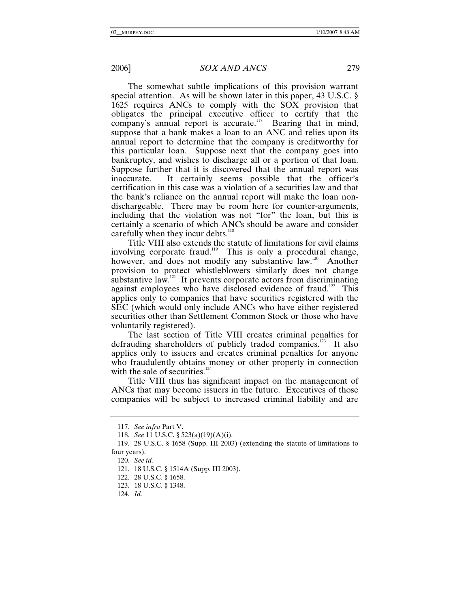The somewhat subtle implications of this provision warrant special attention. As will be shown later in this paper, 43 U.S.C. § 1625 requires ANCs to comply with the SOX provision that obligates the principal executive officer to certify that the company's annual report is accurate.<sup>117</sup> Bearing that in mind, suppose that a bank makes a loan to an ANC and relies upon its annual report to determine that the company is creditworthy for this particular loan. Suppose next that the company goes into bankruptcy, and wishes to discharge all or a portion of that loan. Suppose further that it is discovered that the annual report was inaccurate. It certainly seems possible that the officer's certification in this case was a violation of a securities law and that the bank's reliance on the annual report will make the loan nondischargeable. There may be room here for counter-arguments, including that the violation was not "for" the loan, but this is certainly a scenario of which ANCs should be aware and consider carefully when they incur debts.<sup>118</sup>

Title VIII also extends the statute of limitations for civil claims involving corporate fraud.<sup>119</sup> This is only a procedural change, however, and does not modify any substantive law.<sup>120</sup> Another provision to protect whistleblowers similarly does not change substantive law.<sup>121</sup> It prevents corporate actors from discriminating against employees who have disclosed evidence of fraud.<sup>122</sup> This applies only to companies that have securities registered with the SEC (which would only include ANCs who have either registered securities other than Settlement Common Stock or those who have voluntarily registered).

The last section of Title VIII creates criminal penalties for defrauding shareholders of publicly traded companies.<sup>123</sup> It also applies only to issuers and creates criminal penalties for anyone who fraudulently obtains money or other property in connection with the sale of securities. $124$ 

Title VIII thus has significant impact on the management of ANCs that may become issuers in the future. Executives of those companies will be subject to increased criminal liability and are

<sup>117</sup>*. See infra* Part V.

<sup>118</sup>*. See* 11 U.S.C. § 523(a)(19)(A)(i).

 <sup>119. 28</sup> U.S.C. § 1658 (Supp. III 2003) (extending the statute of limitations to four years).

<sup>120</sup>*. See id.*

 <sup>121. 18</sup> U.S.C. § 1514A (Supp. III 2003).

 <sup>122. 28</sup> U.S.C. § 1658.

 <sup>123. 18</sup> U.S.C. § 1348.

<sup>124</sup>*. Id.*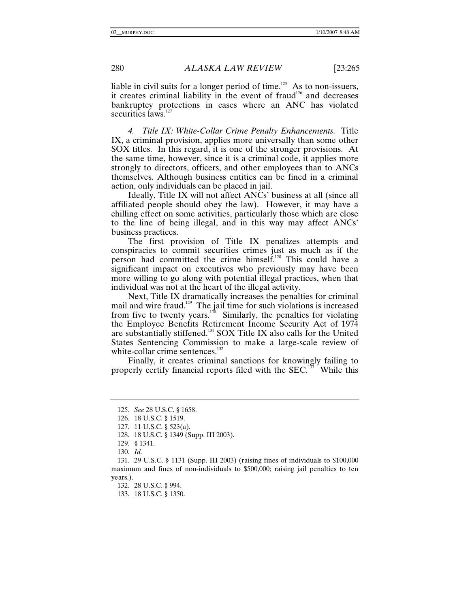liable in civil suits for a longer period of time.<sup>125</sup> As to non-issuers, it creates criminal liability in the event of fraud<sup>126</sup> and decreases bankruptcy protections in cases where an ANC has violated securities laws.<sup>127</sup>

*4. Title IX: White-Collar Crime Penalty Enhancements.* Title IX, a criminal provision, applies more universally than some other SOX titles. In this regard, it is one of the stronger provisions. At the same time, however, since it is a criminal code, it applies more strongly to directors, officers, and other employees than to ANCs themselves. Although business entities can be fined in a criminal action, only individuals can be placed in jail.

Ideally, Title IX will not affect ANCs' business at all (since all affiliated people should obey the law).However, it may have a chilling effect on some activities, particularly those which are close to the line of being illegal, and in this way may affect ANCs' business practices.

The first provision of Title IX penalizes attempts and conspiracies to commit securities crimes just as much as if the person had committed the crime himself.128 This could have a significant impact on executives who previously may have been more willing to go along with potential illegal practices, when that individual was not at the heart of the illegal activity.

Next, Title IX dramatically increases the penalties for criminal mail and wire fraud.<sup>129</sup> The jail time for such violations is increased from five to twenty years. $130$  Similarly, the penalties for violating the Employee Benefits Retirement Income Security Act of 1974 are substantially stiffened.131 SOX Title IX also calls for the United States Sentencing Commission to make a large-scale review of white-collar crime sentences.<sup>132</sup>

Finally, it creates criminal sanctions for knowingly failing to properly certify financial reports filed with the SEC.<sup>133</sup> While this

132. 28 U.S.C. § 994.

133. 18 U.S.C. § 1350.

<sup>125</sup>*. See* 28 U.S.C. § 1658.

 <sup>126. 18</sup> U.S.C. § 1519.

 <sup>127. 11</sup> U.S.C. § 523(a).

 <sup>128. 18</sup> U.S.C. § 1349 (Supp. III 2003).

 <sup>129. § 1341.</sup>

<sup>130</sup>*. Id.*

 <sup>131. 29</sup> U.S.C. § 1131 (Supp. III 2003) (raising fines of individuals to \$100,000 maximum and fines of non-individuals to \$500,000; raising jail penalties to ten years.).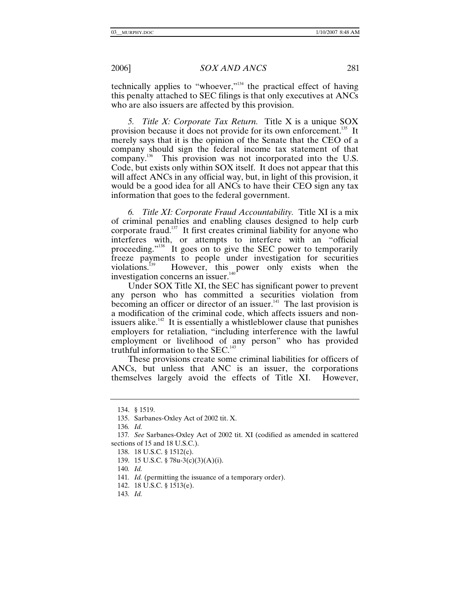technically applies to "whoever,"<sup>134</sup> the practical effect of having this penalty attached to SEC filings is that only executives at ANCs who are also issuers are affected by this provision.

*5. Title X: Corporate Tax Return.* Title X is a unique SOX provision because it does not provide for its own enforcement.<sup>135</sup> It merely says that it is the opinion of the Senate that the CEO of a company should sign the federal income tax statement of that company.<sup>136</sup> This provision was not incorporated into the U.S. Code, but exists only within SOX itself. It does not appear that this will affect ANCs in any official way, but, in light of this provision, it would be a good idea for all ANCs to have their CEO sign any tax information that goes to the federal government.

*6. Title XI: Corporate Fraud Accountability.* Title XI is a mix of criminal penalties and enabling clauses designed to help curb corporate fraud. $137$  It first creates criminal liability for anyone who interferes with, or attempts to interfere with an "official proceeding."<sup>138</sup> It goes on to give the SEC power to temporarily freeze payments to people under investigation for securities violations.<sup>139</sup> However, this power only exists when the However, this power only exists when the investigation concerns an issuer. $^{140}$ 

Under SOX Title XI, the SEC has significant power to prevent any person who has committed a securities violation from becoming an officer or director of an issuer.<sup>141</sup> The last provision is a modification of the criminal code, which affects issuers and nonissuers alike.<sup>142</sup> It is essentially a whistleblower clause that punishes employers for retaliation, "including interference with the lawful employment or livelihood of any person" who has provided truthful information to the  $SEC.<sup>143</sup>$ 

These provisions create some criminal liabilities for officers of ANCs, but unless that ANC is an issuer, the corporations themselves largely avoid the effects of Title XI. However,

 <sup>134. § 1519.</sup>

 <sup>135.</sup> Sarbanes-Oxley Act of 2002 tit. X.

<sup>136</sup>*. Id.*

<sup>137</sup>*. See* Sarbanes-Oxley Act of 2002 tit. XI (codified as amended in scattered sections of 15 and 18 U.S.C.).

 <sup>138. 18</sup> U.S.C. § 1512(c).

 <sup>139. 15</sup> U.S.C. § 78u-3(c)(3)(A)(i).

<sup>140</sup>*. Id.*

<sup>141.</sup> *Id.* (permitting the issuance of a temporary order).

 <sup>142. 18</sup> U.S.C. § 1513(e).

<sup>143</sup>*. Id.*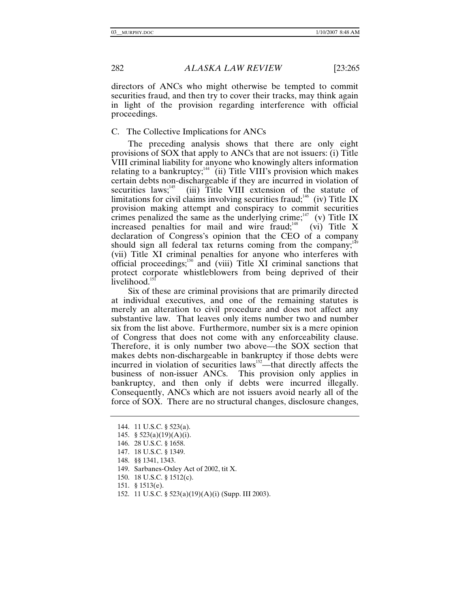directors of ANCs who might otherwise be tempted to commit securities fraud, and then try to cover their tracks, may think again in light of the provision regarding interference with official proceedings.

#### C. The Collective Implications for ANCs

The preceding analysis shows that there are only eight provisions of SOX that apply to ANCs that are not issuers: (i) Title VIII criminal liability for anyone who knowingly alters information relating to a bankruptcy; $144$  (ii) Title VIII's provision which makes certain debts non-dischargeable if they are incurred in violation of securities laws; $145$  (iii) Title VIII extension of the statute of limitations for civil claims involving securities fraud;<sup>146</sup> (iv) Title IX provision making attempt and conspiracy to commit securities crimes penalized the same as the underlying crime;<sup>147</sup> (v) Title IX increased penalties for mail and wire fraud;<sup>148</sup> (vi) Title X declaration of Congress's opinion that the CEO of a company should sign all federal tax returns coming from the company; $149$ (vii) Title XI criminal penalties for anyone who interferes with official proceedings;<sup>150</sup> and (viii) Title  $\dot{X}I$  criminal sanctions that protect corporate whistleblowers from being deprived of their livelihood.<sup>151</sup>

Six of these are criminal provisions that are primarily directed at individual executives, and one of the remaining statutes is merely an alteration to civil procedure and does not affect any substantive law. That leaves only items number two and number six from the list above. Furthermore, number six is a mere opinion of Congress that does not come with any enforceability clause. Therefore, it is only number two above—the SOX section that makes debts non-dischargeable in bankruptcy if those debts were incurred in violation of securities laws<sup>152</sup>—that directly affects the business of non-issuer ANCs. This provision only applies in bankruptcy, and then only if debts were incurred illegally. Consequently, ANCs which are not issuers avoid nearly all of the force of SOX. There are no structural changes, disclosure changes,

- 148. §§ 1341, 1343.
- 149. Sarbanes-Oxley Act of 2002, tit X.
- 150. 18 U.S.C. § 1512(c).
- 151. § 1513(e).
- 152. 11 U.S.C. § 523(a)(19)(A)(i) (Supp. III 2003).

 <sup>144. 11</sup> U.S.C. § 523(a).

<sup>145. § 523(</sup>a)(19)(A)(i).

 <sup>146. 28</sup> U.S.C. § 1658.

 <sup>147. 18</sup> U.S.C. § 1349.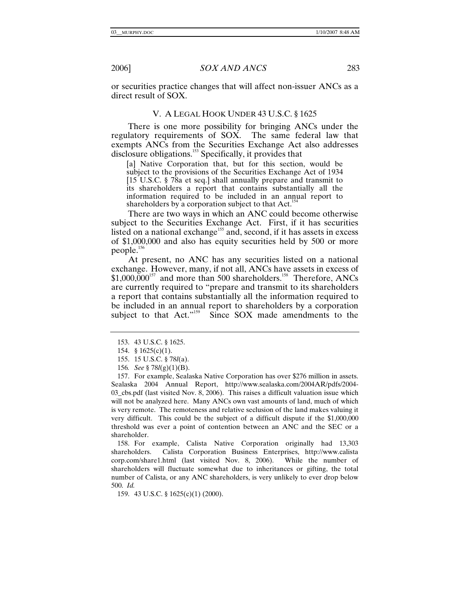or securities practice changes that will affect non-issuer ANCs as a direct result of SOX.

# V. A LEGAL HOOK UNDER 43 U.S.C. § 1625

There is one more possibility for bringing ANCs under the regulatory requirements of SOX. The same federal law that exempts ANCs from the Securities Exchange Act also addresses disclosure obligations.<sup>153</sup> Specifically, it provides that

[a] Native Corporation that, but for this section, would be subject to the provisions of the Securities Exchange Act of 1934 [15 U.S.C. § 78a et seq.] shall annually prepare and transmit to its shareholders a report that contains substantially all the information required to be included in an annual report to shareholders by a corporation subject to that Act.<sup>1</sup>

There are two ways in which an ANC could become otherwise subject to the Securities Exchange Act. First, if it has securities listed on a national exchange<sup>155</sup> and, second, if it has assets in excess of \$1,000,000 and also has equity securities held by 500 or more people.156

At present, no ANC has any securities listed on a national exchange. However, many, if not all, ANCs have assets in excess of  $$1,000,000^{157}$$  and more than 500 shareholders.<sup>158</sup> Therefore, ANCs are currently required to "prepare and transmit to its shareholders a report that contains substantially all the information required to be included in an annual report to shareholders by a corporation subject to that Act."<sup>159</sup> Since SOX made amendments to the

 158. For example, Calista Native Corporation originally had 13,303 shareholders. Calista Corporation Business Enterprises, http://www.calista corp.com/share1.html (last visited Nov. 8, 2006). While the number of shareholders will fluctuate somewhat due to inheritances or gifting, the total number of Calista, or any ANC shareholders, is very unlikely to ever drop below 500. *Id.*

159. 43 U.S.C. § 1625(c)(1) (2000).

 <sup>153. 43</sup> U.S.C. § 1625.

 <sup>154. § 1625(</sup>c)(1).

 <sup>155. 15</sup> U.S.C. § 78*l*(a).

<sup>156</sup>*. See* § 78*l*(g)(1)(B).

 <sup>157.</sup> For example, Sealaska Native Corporation has over \$276 million in assets. Sealaska 2004 Annual Report, http://www.sealaska.com/2004AR/pdfs/2004- 03\_cbs.pdf (last visited Nov. 8, 2006). This raises a difficult valuation issue which will not be analyzed here. Many ANCs own vast amounts of land, much of which is very remote. The remoteness and relative seclusion of the land makes valuing it very difficult. This could be the subject of a difficult dispute if the \$1,000,000 threshold was ever a point of contention between an ANC and the SEC or a shareholder.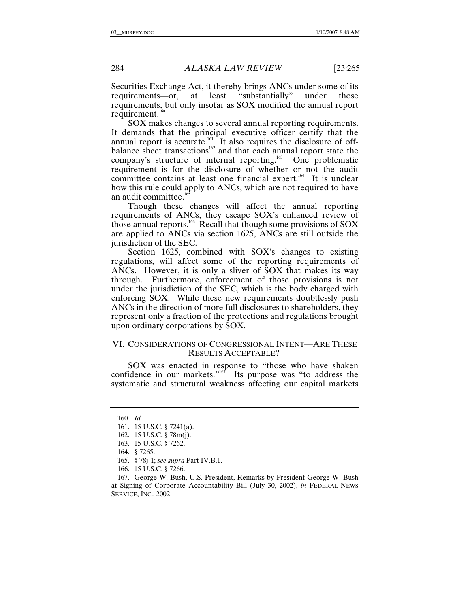Securities Exchange Act, it thereby brings ANCs under some of its requirements—or, at least "substantially" under those requirements—or, at least "substantially" under those requirements, but only insofar as SOX modified the annual report requirement. $160$ 

SOX makes changes to several annual reporting requirements. It demands that the principal executive officer certify that the annual report is accurate.<sup>161</sup> It also requires the disclosure of offbalance sheet transactions<sup>162</sup> and that each annual report state the company's structure of internal reporting.<sup>163</sup> One problematic requirement is for the disclosure of whether or not the audit committee contains at least one financial expert.<sup>164</sup> It is unclear how this rule could apply to ANCs, which are not required to have an audit committee.<sup>16</sup>

Though these changes will affect the annual reporting requirements of ANCs, they escape SOX's enhanced review of those annual reports.166 Recall that though some provisions of SOX are applied to ANCs via section 1625, ANCs are still outside the jurisdiction of the SEC.

Section 1625, combined with SOX's changes to existing regulations, will affect some of the reporting requirements of ANCs. However, it is only a sliver of SOX that makes its way through. Furthermore, enforcement of those provisions is not under the jurisdiction of the SEC, which is the body charged with enforcing SOX. While these new requirements doubtlessly push ANCs in the direction of more full disclosures to shareholders, they represent only a fraction of the protections and regulations brought upon ordinary corporations by SOX.

# VI. CONSIDERATIONS OF CONGRESSIONAL INTENT—ARE THESE RESULTS ACCEPTABLE?

SOX was enacted in response to "those who have shaken confidence in our markets."<sup>167</sup> Its purpose was "to address the systematic and structural weakness affecting our capital markets

<sup>160</sup>*. Id.*

 <sup>161. 15</sup> U.S.C. § 7241(a).

 <sup>162. 15</sup> U.S.C. § 78m(j).

 <sup>163. 15</sup> U.S.C. § 7262.

 <sup>164. § 7265.</sup>

 <sup>165. § 78</sup>j-1; *see supra* Part IV.B.1.

 <sup>166. 15</sup> U.S.C. § 7266.

 <sup>167.</sup> George W. Bush, U.S. President, Remarks by President George W. Bush at Signing of Corporate Accountability Bill (July 30, 2002), *in* FEDERAL NEWS SERVICE, INC., 2002.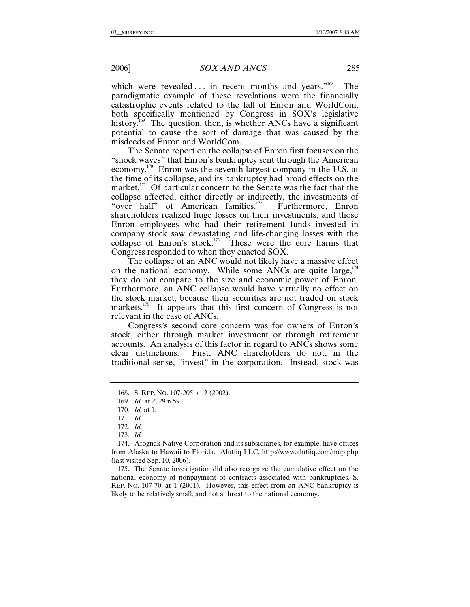which were revealed ... in recent months and years."<sup>168</sup> The paradigmatic example of these revelations were the financially catastrophic events related to the fall of Enron and WorldCom, both specifically mentioned by Congress in SOX's legislative history.<sup>169</sup> The question, then, is whether ANCs have a significant potential to cause the sort of damage that was caused by the misdeeds of Enron and WorldCom.

The Senate report on the collapse of Enron first focuses on the "shock waves" that Enron's bankruptcy sent through the American economy.170 Enron was the seventh largest company in the U.S. at the time of its collapse, and its bankruptcy had broad effects on the market. $^{171}$  Of particular concern to the Senate was the fact that the collapse affected, either directly or indirectly, the investments of "over half" of American families.<sup>172</sup> Furthermore, Enron shareholders realized huge losses on their investments, and those Enron employees who had their retirement funds invested in company stock saw devastating and life-changing losses with the collapse of Enron's stock.<sup>173</sup> These were the core harms that Congress responded to when they enacted SOX.

The collapse of an ANC would not likely have a massive effect on the national economy. While some ANCs are quite large,  $174$ they do not compare to the size and economic power of Enron. Furthermore, an ANC collapse would have virtually no effect on the stock market, because their securities are not traded on stock markets.<sup>175</sup> It appears that this first concern of Congress is not relevant in the case of ANCs.

Congress's second core concern was for owners of Enron's stock, either through market investment or through retirement accounts. An analysis of this factor in regard to ANCs shows some clear distinctions. First, ANC shareholders do not, in the traditional sense, "invest" in the corporation. Instead, stock was

 175. The Senate investigation did also recognize the cumulative effect on the national economy of nonpayment of contracts associated with bankruptcies. S. REP. NO. 107-70, at 1 (2001). However, this effect from an ANC bankruptcy is likely to be relatively small, and not a threat to the national economy.

 <sup>168.</sup> S. REP. NO. 107-205, at 2 (2002).

<sup>169</sup>*. Id.* at 2, 29 n.59.

<sup>170</sup>*. Id.* at 1.

<sup>171</sup>*. Id.*

<sup>172</sup>*. Id.*

<sup>173</sup>*. Id.*

 <sup>174.</sup> Afognak Native Corporation and its subsidiaries, for example, have offices from Alaska to Hawaii to Florida. Alutiiq LLC, http://www.alutiiq.com/map.php (last visited Sep. 10, 2006).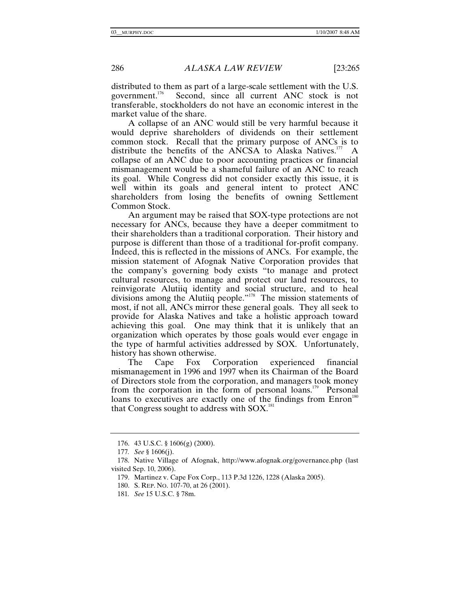distributed to them as part of a large-scale settlement with the U.S. government.<sup>176</sup> Second, since all current ANC stock is not Second, since all current ANC stock is not transferable, stockholders do not have an economic interest in the market value of the share.

A collapse of an ANC would still be very harmful because it would deprive shareholders of dividends on their settlement common stock. Recall that the primary purpose of ANCs is to distribute the benefits of the ANCSA to Alaska Natives.<sup>177</sup> A collapse of an ANC due to poor accounting practices or financial mismanagement would be a shameful failure of an ANC to reach its goal. While Congress did not consider exactly this issue, it is well within its goals and general intent to protect ANC shareholders from losing the benefits of owning Settlement Common Stock.

An argument may be raised that SOX-type protections are not necessary for ANCs, because they have a deeper commitment to their shareholders than a traditional corporation. Their history and purpose is different than those of a traditional for-profit company. Indeed, this is reflected in the missions of ANCs. For example, the mission statement of Afognak Native Corporation provides that the company's governing body exists "to manage and protect cultural resources, to manage and protect our land resources, to reinvigorate Alutiiq identity and social structure, and to heal divisions among the Alutiiq people."<sup>178</sup> The mission statements of most, if not all, ANCs mirror these general goals. They all seek to provide for Alaska Natives and take a holistic approach toward achieving this goal. One may think that it is unlikely that an organization which operates by those goals would ever engage in the type of harmful activities addressed by SOX. Unfortunately, history has shown otherwise.

The Cape Fox Corporation experienced financial mismanagement in 1996 and 1997 when its Chairman of the Board of Directors stole from the corporation, and managers took money from the corporation in the form of personal loans.<sup>179</sup> Personal loans to executives are exactly one of the findings from  $Enron<sup>180</sup>$ that Congress sought to address with  $SOX$ <sup>181</sup>

 <sup>176. 43</sup> U.S.C. § 1606(g) (2000).

<sup>177</sup>*. See* § 1606(j).

 <sup>178.</sup> Native Village of Afognak, http://www.afognak.org/governance.php (last visited Sep. 10, 2006).

 <sup>179.</sup> Martinez v. Cape Fox Corp., 113 P.3d 1226, 1228 (Alaska 2005).

 <sup>180.</sup> S. REP. NO. 107-70, at 26 (2001).

<sup>181</sup>*. See* 15 U.S.C. § 78m.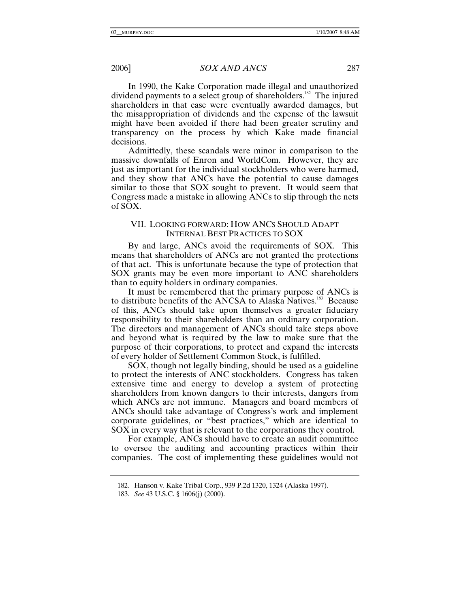In 1990, the Kake Corporation made illegal and unauthorized dividend payments to a select group of shareholders.<sup>182</sup> The injured shareholders in that case were eventually awarded damages, but the misappropriation of dividends and the expense of the lawsuit might have been avoided if there had been greater scrutiny and transparency on the process by which Kake made financial decisions.

Admittedly, these scandals were minor in comparison to the massive downfalls of Enron and WorldCom. However, they are just as important for the individual stockholders who were harmed, and they show that ANCs have the potential to cause damages similar to those that SOX sought to prevent. It would seem that Congress made a mistake in allowing ANCs to slip through the nets of SOX.

# VII. LOOKING FORWARD: HOW ANCS SHOULD ADAPT INTERNAL BEST PRACTICES TO SOX

By and large, ANCs avoid the requirements of SOX. This means that shareholders of ANCs are not granted the protections of that act. This is unfortunate because the type of protection that SOX grants may be even more important to ANC shareholders than to equity holders in ordinary companies.

It must be remembered that the primary purpose of ANCs is to distribute benefits of the ANCSA to Alaska Natives.<sup>183</sup> Because of this, ANCs should take upon themselves a greater fiduciary responsibility to their shareholders than an ordinary corporation. The directors and management of ANCs should take steps above and beyond what is required by the law to make sure that the purpose of their corporations, to protect and expand the interests of every holder of Settlement Common Stock, is fulfilled.

SOX, though not legally binding, should be used as a guideline to protect the interests of ANC stockholders. Congress has taken extensive time and energy to develop a system of protecting shareholders from known dangers to their interests, dangers from which ANCs are not immune. Managers and board members of ANCs should take advantage of Congress's work and implement corporate guidelines, or "best practices," which are identical to SOX in every way that is relevant to the corporations they control.

For example, ANCs should have to create an audit committee to oversee the auditing and accounting practices within their companies. The cost of implementing these guidelines would not

 <sup>182.</sup> Hanson v. Kake Tribal Corp., 939 P.2d 1320, 1324 (Alaska 1997).

<sup>183</sup>*. See* 43 U.S.C. § 1606(j) (2000).